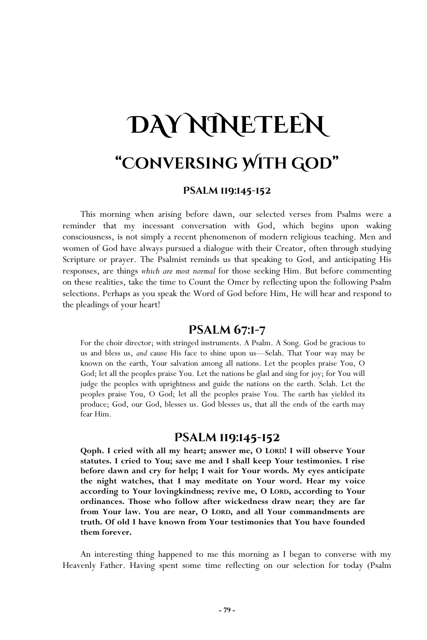# **DAY NINETEEN "Conversing With God"**

#### **Psalm 119:145-152**

This morning when arising before dawn, our selected verses from Psalms were a reminder that my incessant conversation with God, which begins upon waking consciousness, is not simply a recent phenomenon of modern religious teaching. Men and women of God have always pursued a dialogue with their Creator, often through studying Scripture or prayer. The Psalmist reminds us that speaking to God, and anticipating His responses, are things *which are most normal* for those seeking Him. But before commenting on these realities, take the time to Count the Omer by reflecting upon the following Psalm selections. Perhaps as you speak the Word of God before Him, He will hear and respond to the pleadings of your heart!

## **Psalm 67:1-7**

For the choir director; with stringed instruments. A Psalm. A Song. God be gracious to us and bless us, *and* cause His face to shine upon us—Selah. That Your way may be known on the earth, Your salvation among all nations. Let the peoples praise You, O God; let all the peoples praise You. Let the nations be glad and sing for joy; for You will judge the peoples with uprightness and guide the nations on the earth. Selah. Let the peoples praise You, O God; let all the peoples praise You. The earth has yielded its produce; God, our God, blesses us. God blesses us, that all the ends of the earth may fear Him.

## **Psalm 119:145-152**

**Qoph. I cried with all my heart; answer me, O LORD! I will observe Your statutes. I cried to You; save me and I shall keep Your testimonies. I rise before dawn and cry for help; I wait for Your words. My eyes anticipate the night watches, that I may meditate on Your word. Hear my voice according to Your lovingkindness; revive me, O LORD, according to Your ordinances. Those who follow after wickedness draw near; they are far from Your law. You are near, O LORD, and all Your commandments are truth. Of old I have known from Your testimonies that You have founded them forever.** 

An interesting thing happened to me this morning as I began to converse with my Heavenly Father. Having spent some time reflecting on our selection for today (Psalm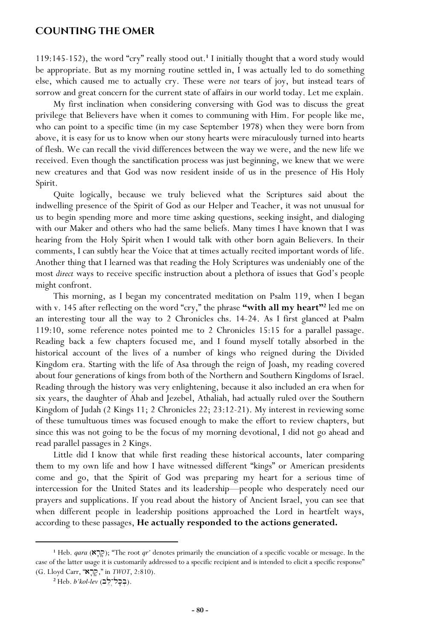#### **Counting the Omer**

119:145-152), the word "cry" really stood out.**<sup>1</sup>** I initially thought that a word study would be appropriate. But as my morning routine settled in, I was actually led to do something else, which caused me to actually cry. These were *not* tears of joy, but instead tears of sorrow and great concern for the current state of affairs in our world today. Let me explain.

My first inclination when considering conversing with God was to discuss the great privilege that Believers have when it comes to communing with Him. For people like me, who can point to a specific time (in my case September 1978) when they were born from above, it is easy for us to know when our stony hearts were miraculously turned into hearts of flesh. We can recall the vivid differences between the way we were, and the new life we received. Even though the sanctification process was just beginning, we knew that we were new creatures and that God was now resident inside of us in the presence of His Holy Spirit.

Quite logically, because we truly believed what the Scriptures said about the indwelling presence of the Spirit of God as our Helper and Teacher, it was not unusual for us to begin spending more and more time asking questions, seeking insight, and dialoging with our Maker and others who had the same beliefs. Many times I have known that I was hearing from the Holy Spirit when I would talk with other born again Believers. In their comments, I can subtly hear the Voice that at times actually recited important words of life. Another thing that I learned was that reading the Holy Scriptures was undeniably one of the most *direct* ways to receive specific instruction about a plethora of issues that God's people might confront.

This morning, as I began my concentrated meditation on Psalm 119, when I began with v. 145 after reflecting on the word "cry," the phrase "with all my heart"<sup>2</sup> led me on an interesting tour all the way to 2 Chronicles chs. 14-24. As I first glanced at Psalm 119:10, some reference notes pointed me to 2 Chronicles 15:15 for a parallel passage. Reading back a few chapters focused me, and I found myself totally absorbed in the historical account of the lives of a number of kings who reigned during the Divided Kingdom era. Starting with the life of Asa through the reign of Joash, my reading covered about four generations of kings from both of the Northern and Southern Kingdoms of Israel. Reading through the history was very enlightening, because it also included an era when for six years, the daughter of Ahab and Jezebel, Athaliah, had actually ruled over the Southern Kingdom of Judah (2 Kings 11; 2 Chronicles 22; 23:12-21). My interest in reviewing some of these tumultuous times was focused enough to make the effort to review chapters, but since this was not going to be the focus of my morning devotional, I did not go ahead and read parallel passages in 2 Kings.

Little did I know that while first reading these historical accounts, later comparing them to my own life and how I have witnessed different "kings" or American presidents come and go, that the Spirit of God was preparing my heart for a serious time of intercession for the United States and its leadership—people who desperately need our prayers and supplications. If you read about the history of Ancient Israel, you can see that when different people in leadership positions approached the Lord in heartfelt ways, according to these passages, **He actually responded to the actions generated.**

**<sup>1</sup>** Heb. *qara* ( $\mathbb{R}$ ); "The root *qr'* denotes primarily the enunciation of a specific vocable or message. In the case of the latter usage it is customarily addressed to a specific recipient and is intended to elicit a specific response" (G. Lloyd Carr, "ar'q '," in *TWOT*, 2:810).

יִבְּלְלֵב).<br>בְּבֶל<sup>-</sup>לֻבָּ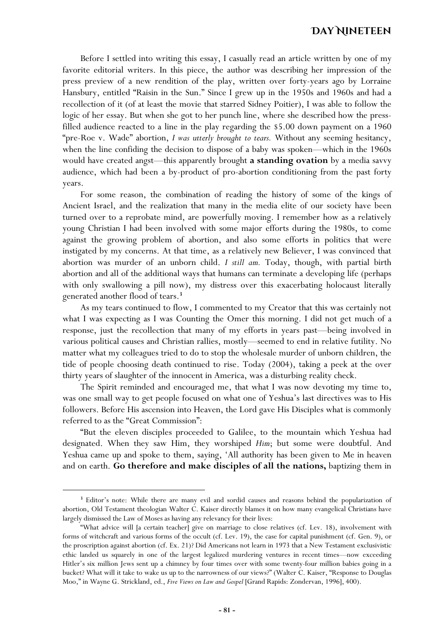#### **Day Nineteen**

Before I settled into writing this essay, I casually read an article written by one of my favorite editorial writers. In this piece, the author was describing her impression of the press preview of a new rendition of the play, written over forty-years ago by Lorraine Hansbury, entitled "Raisin in the Sun." Since I grew up in the 1950s and 1960s and had a recollection of it (of at least the movie that starred Sidney Poitier), I was able to follow the logic of her essay. But when she got to her punch line, where she described how the pressfilled audience reacted to a line in the play regarding the \$5.00 down payment on a 1960 "pre-Roe v. Wade" abortion, *I was utterly brought to tears.* Without any seeming hesitancy, when the line confiding the decision to dispose of a baby was spoken—which in the 1960s would have created angst—this apparently brought **a standing ovation** by a media savvy audience, which had been a by-product of pro-abortion conditioning from the past forty years.

For some reason, the combination of reading the history of some of the kings of Ancient Israel, and the realization that many in the media elite of our society have been turned over to a reprobate mind, are powerfully moving. I remember how as a relatively young Christian I had been involved with some major efforts during the 1980s, to come against the growing problem of abortion, and also some efforts in politics that were instigated by my concerns. At that time, as a relatively new Believer, I was convinced that abortion was murder of an unborn child. *I still am.* Today, though, with partial birth abortion and all of the additional ways that humans can terminate a developing life (perhaps with only swallowing a pill now), my distress over this exacerbating holocaust literally generated another flood of tears.**<sup>3</sup>**

As my tears continued to flow, I commented to my Creator that this was certainly not what I was expecting as I was Counting the Omer this morning. I did not get much of a response, just the recollection that many of my efforts in years past—being involved in various political causes and Christian rallies, mostly—seemed to end in relative futility. No matter what my colleagues tried to do to stop the wholesale murder of unborn children, the tide of people choosing death continued to rise. Today (2004), taking a peek at the over thirty years of slaughter of the innocent in America, was a disturbing reality check.

The Spirit reminded and encouraged me, that what I was now devoting my time to, was one small way to get people focused on what one of Yeshua's last directives was to His followers. Before His ascension into Heaven, the Lord gave His Disciples what is commonly referred to as the "Great Commission":

"But the eleven disciples proceeded to Galilee, to the mountain which Yeshua had designated. When they saw Him, they worshiped *Him*; but some were doubtful. And Yeshua came up and spoke to them, saying, 'All authority has been given to Me in heaven and on earth. **Go therefore and make disciples of all the nations,** baptizing them in

**<sup>3</sup>** Editor's note: While there are many evil and sordid causes and reasons behind the popularization of abortion, Old Testament theologian Walter C. Kaiser directly blames it on how many evangelical Christians have largely dismissed the Law of Moses as having any relevancy for their lives:

<sup>&</sup>quot;What advice will [a certain teacher] give on marriage to close relatives (cf. Lev. 18), involvement with forms of witchcraft and various forms of the occult (cf. Lev. 19), the case for capital punishment (cf. Gen. 9), or the proscription against abortion (cf. Ex. 21)? Did Americans not learn in 1973 that a New Testament exclusivistic ethic landed us squarely in one of the largest legalized murdering ventures in recent times—now exceeding Hitler's six million Jews sent up a chimney by four times over with some twenty-four million babies going in a bucket? What will it take to wake us up to the narrowness of our views?" (Walter C. Kaiser, "Response to Douglas Moo," in Wayne G. Strickland, ed., *Five Views on Law and Gospel* [Grand Rapids: Zondervan, 1996], 400).